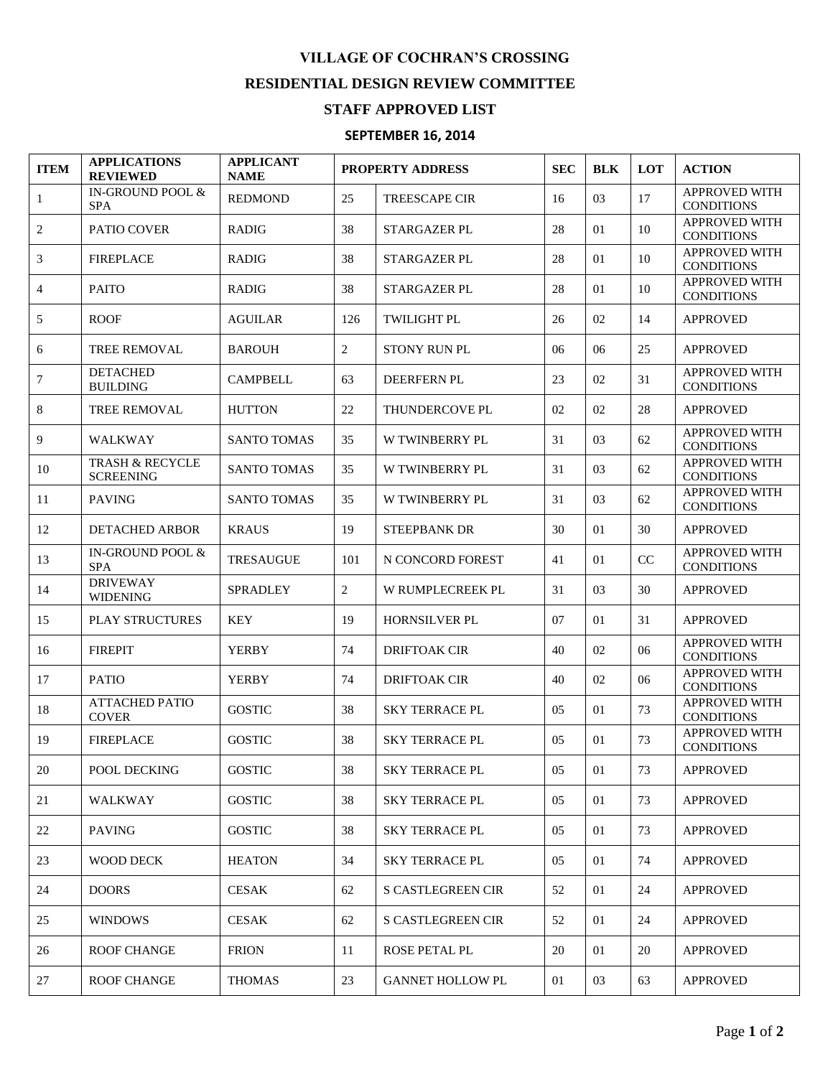## **VILLAGE OF COCHRAN'S CROSSING RESIDENTIAL DESIGN REVIEW COMMITTEE**

## **STAFF APPROVED LIST**

## **SEPTEMBER 16, 2014**

| <b>ITEM</b>    | <b>APPLICATIONS</b><br><b>REVIEWED</b>         | <b>APPLICANT</b><br><b>NAME</b> | <b>PROPERTY ADDRESS</b> |                          | <b>SEC</b>     | <b>BLK</b> | <b>LOT</b> | <b>ACTION</b>                             |
|----------------|------------------------------------------------|---------------------------------|-------------------------|--------------------------|----------------|------------|------------|-------------------------------------------|
| 1              | IN-GROUND POOL &<br><b>SPA</b>                 | <b>REDMOND</b>                  | 25                      | <b>TREESCAPE CIR</b>     | 16             | 03         | 17         | <b>APPROVED WITH</b><br><b>CONDITIONS</b> |
| $\overline{2}$ | PATIO COVER                                    | <b>RADIG</b>                    | 38                      | STARGAZER PL             | 28             | 01         | 10         | <b>APPROVED WITH</b><br><b>CONDITIONS</b> |
| 3              | <b>FIREPLACE</b>                               | <b>RADIG</b>                    | 38                      | STARGAZER PL             | 28             | 01         | 10         | <b>APPROVED WITH</b><br><b>CONDITIONS</b> |
| 4              | <b>PAITO</b>                                   | <b>RADIG</b>                    | 38                      | STARGAZER PL             | 28             | 01         | 10         | <b>APPROVED WITH</b><br><b>CONDITIONS</b> |
| 5              | <b>ROOF</b>                                    | <b>AGUILAR</b>                  | 126                     | <b>TWILIGHT PL</b>       | 26             | 02         | 14         | <b>APPROVED</b>                           |
| 6              | <b>TREE REMOVAL</b>                            | <b>BAROUH</b>                   | 2                       | <b>STONY RUN PL</b>      | 06             | 06         | 25         | <b>APPROVED</b>                           |
| 7              | <b>DETACHED</b><br><b>BUILDING</b>             | <b>CAMPBELL</b>                 | 63                      | DEERFERN PL              | 23             | 02         | 31         | <b>APPROVED WITH</b><br><b>CONDITIONS</b> |
| 8              | <b>TREE REMOVAL</b>                            | <b>HUTTON</b>                   | 22                      | THUNDERCOVE PL           | 02             | 02         | 28         | <b>APPROVED</b>                           |
| 9              | <b>WALKWAY</b>                                 | <b>SANTO TOMAS</b>              | 35                      | <b>W TWINBERRY PL</b>    | 31             | 03         | 62         | <b>APPROVED WITH</b><br><b>CONDITIONS</b> |
| 10             | <b>TRASH &amp; RECYCLE</b><br><b>SCREENING</b> | <b>SANTO TOMAS</b>              | 35                      | W TWINBERRY PL           | 31             | 03         | 62         | <b>APPROVED WITH</b><br><b>CONDITIONS</b> |
| 11             | <b>PAVING</b>                                  | <b>SANTO TOMAS</b>              | 35                      | W TWINBERRY PL           | 31             | 03         | 62         | <b>APPROVED WITH</b><br><b>CONDITIONS</b> |
| 12             | <b>DETACHED ARBOR</b>                          | <b>KRAUS</b>                    | 19                      | <b>STEEPBANK DR</b>      | 30             | 01         | 30         | <b>APPROVED</b>                           |
| 13             | IN-GROUND POOL &<br><b>SPA</b>                 | <b>TRESAUGUE</b>                | 101                     | N CONCORD FOREST         | 41             | 01         | $\rm CC$   | <b>APPROVED WITH</b><br><b>CONDITIONS</b> |
| 14             | <b>DRIVEWAY</b><br><b>WIDENING</b>             | SPRADLEY                        | 2                       | W RUMPLECREEK PL         | 31             | 03         | 30         | <b>APPROVED</b>                           |
| 15             | <b>PLAY STRUCTURES</b>                         | <b>KEY</b>                      | 19                      | <b>HORNSILVER PL</b>     | 07             | 01         | 31         | <b>APPROVED</b>                           |
| 16             | <b>FIREPIT</b>                                 | <b>YERBY</b>                    | 74                      | <b>DRIFTOAK CIR</b>      | 40             | 02         | 06         | <b>APPROVED WITH</b><br><b>CONDITIONS</b> |
| 17             | <b>PATIO</b>                                   | <b>YERBY</b>                    | 74                      | <b>DRIFTOAK CIR</b>      | 40             | 02         | 06         | <b>APPROVED WITH</b><br><b>CONDITIONS</b> |
| 18             | <b>ATTACHED PATIO</b><br><b>COVER</b>          | <b>GOSTIC</b>                   | 38                      | <b>SKY TERRACE PL</b>    | 05             | 01         | 73         | <b>APPROVED WITH</b><br><b>CONDITIONS</b> |
| 19             | <b>FIREPLACE</b>                               | <b>GOSTIC</b>                   | 38                      | <b>SKY TERRACE PL</b>    | 0 <sub>5</sub> | 01         | 73         | <b>APPROVED WITH</b><br><b>CONDITIONS</b> |
| 20             | POOL DECKING                                   | <b>GOSTIC</b>                   | 38                      | <b>SKY TERRACE PL</b>    | 05             | 01         | 73         | <b>APPROVED</b>                           |
| 21             | WALKWAY                                        | <b>GOSTIC</b>                   | 38                      | <b>SKY TERRACE PL</b>    | 05             | 01         | 73         | <b>APPROVED</b>                           |
| 22             | <b>PAVING</b>                                  | <b>GOSTIC</b>                   | 38                      | <b>SKY TERRACE PL</b>    | 05             | 01         | 73         | <b>APPROVED</b>                           |
| 23             | WOOD DECK                                      | <b>HEATON</b>                   | 34                      | <b>SKY TERRACE PL</b>    | 05             | 01         | 74         | <b>APPROVED</b>                           |
| 24             | <b>DOORS</b>                                   | <b>CESAK</b>                    | 62                      | S CASTLEGREEN CIR        | 52             | 01         | 24         | <b>APPROVED</b>                           |
| 25             | <b>WINDOWS</b>                                 | <b>CESAK</b>                    | 62                      | <b>S CASTLEGREEN CIR</b> | 52             | 01         | 24         | <b>APPROVED</b>                           |
| 26             | <b>ROOF CHANGE</b>                             | <b>FRION</b>                    | 11                      | ROSE PETAL PL            | 20             | 01         | 20         | <b>APPROVED</b>                           |
| 27             | <b>ROOF CHANGE</b>                             | <b>THOMAS</b>                   | 23                      | <b>GANNET HOLLOW PL</b>  | 01             | 03         | 63         | <b>APPROVED</b>                           |